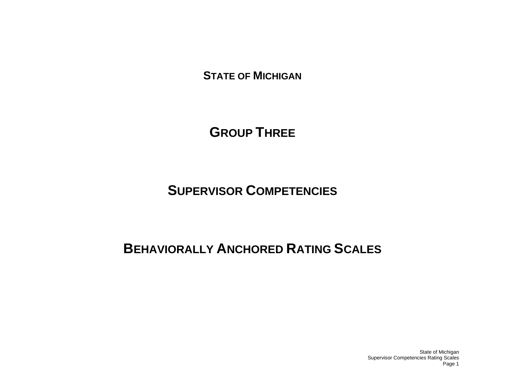**STATE OF MICHIGAN**

**GROUP THREE**

**SUPERVISOR COMPETENCIES**

# **BEHAVIORALLY ANCHORED RATING SCALES**

State of Michigan Supervisor Competencies Rating Scales Page 1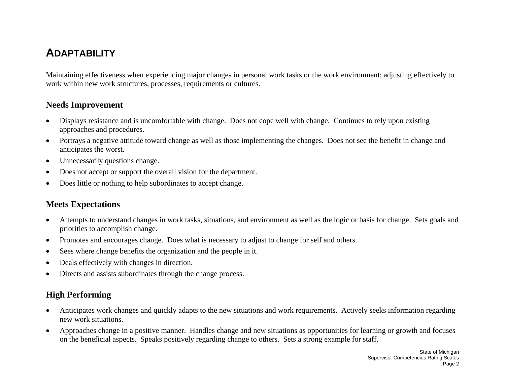## **ADAPTABILITY**

Maintaining effectiveness when experiencing major changes in personal work tasks or the work environment; adjusting effectively to work within new work structures, processes, requirements or cultures.

#### **Needs Improvement**

- • Displays resistance and is uncomfortable with change. Does not cope well with change. Continues to rely upon existing approaches and procedures.
- • Portrays a negative attitude toward change as well as those implementing the changes. Does not see the benefit in change and anticipates the worst.
- •Unnecessarily questions change.
- •Does not accept or support the overall vision for the department.
- •Does little or nothing to help subordinates to accept change.

#### **Meets Expectations**

- • Attempts to understand changes in work tasks, situations, and environment as well as the logic or basis for change. Sets goals and priorities to accomplish change.
- •Promotes and encourages change. Does what is necessary to adjust to change for self and others.
- •Sees where change benefits the organization and the people in it.
- •Deals effectively with changes in direction.
- •Directs and assists subordinates through the change process.

- • Anticipates work changes and quickly adapts to the new situations and work requirements. Actively seeks information regarding new work situations.
- • Approaches change in a positive manner. Handles change and new situations as opportunities for learning or growth and focuses on the beneficial aspects. Speaks positively regarding change to others. Sets a strong example for staff.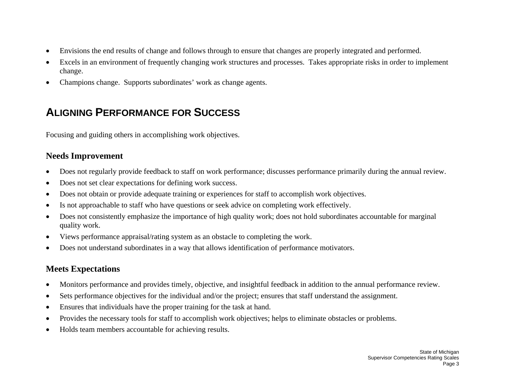- •Envisions the end results of change and follows through to ensure that changes are properly integrated and performed.
- • Excels in an environment of frequently changing work structures and processes. Takes appropriate risks in order to implement change.
- $\bullet$ Champions change. Supports subordinates' work as change agents.

## **ALIGNING PERFORMANCE FOR SUCCESS**

Focusing and guiding others in accomplishing work objectives.

#### **Needs Improvement**

- •Does not regularly provide feedback to staff on work performance; discusses performance primarily during the annual review.
- •Does not set clear expectations for defining work success.
- •Does not obtain or provide adequate training or experiences for staff to accomplish work objectives.
- •Is not approachable to staff who have questions or seek advice on completing work effectively.
- • Does not consistently emphasize the importance of high quality work; does not hold subordinates accountable for marginal quality work.
- $\bullet$ Views performance appraisal/rating system as an obstacle to completing the work.
- •Does not understand subordinates in a way that allows identification of performance motivators.

### **Meets Expectations**

- $\bullet$ Monitors performance and provides timely, objective, and insightful feedback in addition to the annual performance review.
- •Sets performance objectives for the individual and/or the project; ensures that staff understand the assignment.
- •Ensures that individuals have the proper training for the task at hand.
- •Provides the necessary tools for staff to accomplish work objectives; helps to eliminate obstacles or problems.
- •Holds team members accountable for achieving results.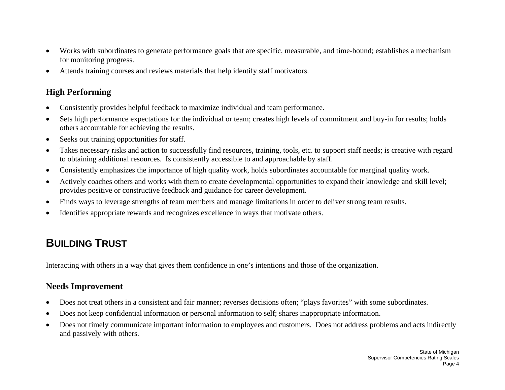- $\bullet$  Works with subordinates to generate performance goals that are specific, measurable, and time-bound; establishes a mechanism for monitoring progress.
- •Attends training courses and reviews materials that help identify staff motivators.

#### **High Performing**

- $\bullet$ Consistently provides helpful feedback to maximize individual and team performance.
- • Sets high performance expectations for the individual or team; creates high levels of commitment and buy-in for results; holds others accountable for achieving the results.
- •Seeks out training opportunities for staff.
- • Takes necessary risks and action to successfully find resources, training, tools, etc. to support staff needs; is creative with regard to obtaining additional resources. Is consistently accessible to and approachable by staff.
- •Consistently emphasizes the importance of high quality work, holds subordinates accountable for marginal quality work.
- • Actively coaches others and works with them to create developmental opportunities to expand their knowledge and skill level; provides positive or constructive feedback and guidance for career development.
- •Finds ways to leverage strengths of team members and manage limitations in order to deliver strong team results.
- •Identifies appropriate rewards and recognizes excellence in ways that motivate others.

## **BUILDING TRUST**

Interacting with others in a way that gives them confidence in one's intentions and those of the organization.

- •Does not treat others in a consistent and fair manner; reverses decisions often; "plays favorites" with some subordinates.
- •Does not keep confidential information or personal information to self; shares inappropriate information.
- • Does not timely communicate important information to employees and customers. Does not address problems and acts indirectly and passively with others.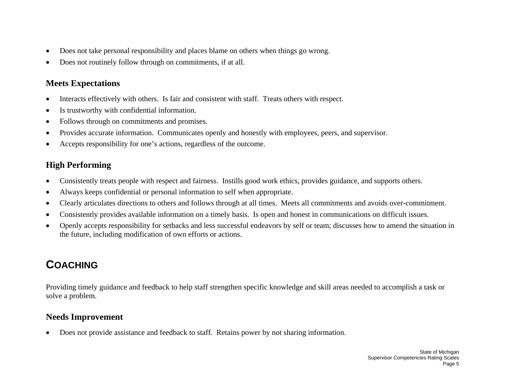- •Does not take personal responsibility and places blame on others when things go wrong.
- •Does not routinely follow through on commitments, if at all.

- •Interacts effectively with others. Is fair and consistent with staff. Treats others with respect.
- •Is trustworthy with confidential information.
- •Follows through on commitments and promises.
- •Provides accurate information. Communicates openly and honestly with employees, peers, and supervisor.
- •Accepts responsibility for one's actions, regardless of the outcome.

## **High Performing**

- $\bullet$ Consistently treats people with respect and fairness. Instills good work ethics, provides guidance, and supports others.
- •Always keeps confidential or personal information to self when appropriate.
- •Clearly articulates directions to others and follows through at all times. Meets all commitments and avoids over-commitment.
- •Consistently provides available information on a timely basis. Is open and honest in communications on difficult issues.
- • Openly accepts responsibility for setbacks and less successful endeavors by self or team; discusses how to amend the situation in the future, including modification of own efforts or actions.

# **COACHING**

Providing timely guidance and feedback to help staff strengthen specific knowledge and skill areas needed to accomplish a task or solve a problem.

### **Needs Improvement**

•Does not provide assistance and feedback to staff. Retains power by not sharing information.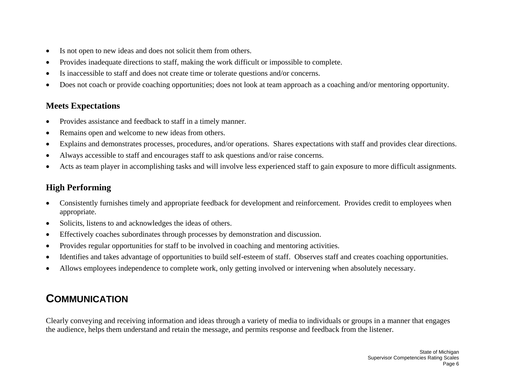- •Is not open to new ideas and does not solicit them from others.
- •Provides inadequate directions to staff, making the work difficult or impossible to complete.
- •Is inaccessible to staff and does not create time or tolerate questions and/or concerns.
- •Does not coach or provide coaching opportunities; does not look at team approach as a coaching and/or mentoring opportunity.

- •Provides assistance and feedback to staff in a timely manner.
- •Remains open and welcome to new ideas from others.
- •Explains and demonstrates processes, procedures, and/or operations. Shares expectations with staff and provides clear directions.
- •Always accessible to staff and encourages staff to ask questions and/or raise concerns.
- •Acts as team player in accomplishing tasks and will involve less experienced staff to gain exposure to more difficult assignments.

## **High Performing**

- • Consistently furnishes timely and appropriate feedback for development and reinforcement. Provides credit to employees when appropriate.
- •Solicits, listens to and acknowledges the ideas of others.
- •Effectively coaches subordinates through processes by demonstration and discussion.
- •Provides regular opportunities for staff to be involved in coaching and mentoring activities.
- •Identifies and takes advantage of opportunities to build self-esteem of staff. Observes staff and creates coaching opportunities.
- •Allows employees independence to complete work, only getting involved or intervening when absolutely necessary.

## **COMMUNICATION**

Clearly conveying and receiving information and ideas through a variety of media to individuals or groups in a manner that engages the audience, helps them understand and retain the message, and permits response and feedback from the listener.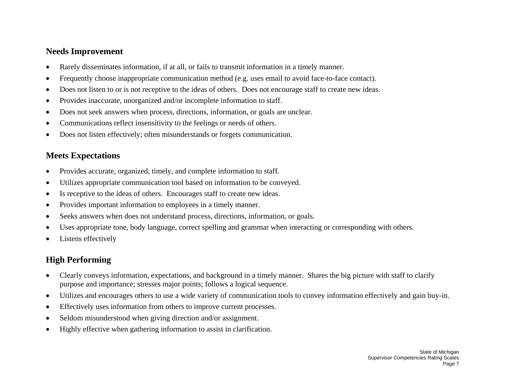#### **Needs Improvement**

- •Rarely disseminates information, if at all, or fails to transmit information in a timely manner.
- •Frequently choose inappropriate communication method (e.g. uses email to avoid face-to-face contact).
- •Does not listen to or is not receptive to the ideas of others. Does not encourage staff to create new ideas.
- •Provides inaccurate, unorganized and/or incomplete information to staff.
- •Does not seek answers when process, directions, information, or goals are unclear.
- •Communications reflect insensitivity to the feelings or needs of others.
- $\bullet$ Does not listen effectively; often misunderstands or forgets communication.

### **Meets Expectations**

- $\bullet$ Provides accurate, organized, timely, and complete information to staff.
- •Utilizes appropriate communication tool based on information to be conveyed.
- •Is receptive to the ideas of others. Encourages staff to create new ideas.
- •Provides important information to employees in a timely manner.
- •Seeks answers when does not understand process, directions, information, or goals.
- •Uses appropriate tone, body language, correct spelling and grammar when interacting or corresponding with others.
- •Listens effectively

- $\bullet$  Clearly conveys information, expectations, and background in a timely manner. Shares the big picture with staff to clarify purpose and importance; stresses major points; follows a logical sequence.
- •Utilizes and encourages others to use a wide variety of communication tools to convey information effectively and gain buy-in.
- •Effectively uses information from others to improve current processes.
- •Seldom misunderstood when giving direction and/or assignment.
- •Highly effective when gathering information to assist in clarification.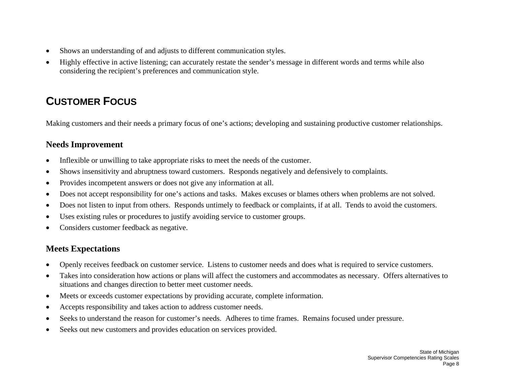- •Shows an understanding of and adjusts to different communication styles.
- • Highly effective in active listening; can accurately restate the sender's message in different words and terms while also considering the recipient's preferences and communication style.

## **CUSTOMER FOCUS**

Making customers and their needs a primary focus of one's actions; developing and sustaining productive customer relationships.

### **Needs Improvement**

- •Inflexible or unwilling to take appropriate risks to meet the needs of the customer.
- •Shows insensitivity and abruptness toward customers. Responds negatively and defensively to complaints.
- •Provides incompetent answers or does not give any information at all.
- •Does not accept responsibility for one's actions and tasks. Makes excuses or blames others when problems are not solved.
- •Does not listen to input from others. Responds untimely to feedback or complaints, if at all. Tends to avoid the customers.
- •Uses existing rules or procedures to justify avoiding service to customer groups.
- •Considers customer feedback as negative.

### **Meets Expectations**

- •Openly receives feedback on customer service. Listens to customer needs and does what is required to service customers.
- • Takes into consideration how actions or plans will affect the customers and accommodates as necessary. Offers alternatives to situations and changes direction to better meet customer needs.
- •Meets or exceeds customer expectations by providing accurate, complete information.
- •Accepts responsibility and takes action to address customer needs.
- •Seeks to understand the reason for customer's needs. Adheres to time frames. Remains focused under pressure.
- •Seeks out new customers and provides education on services provided.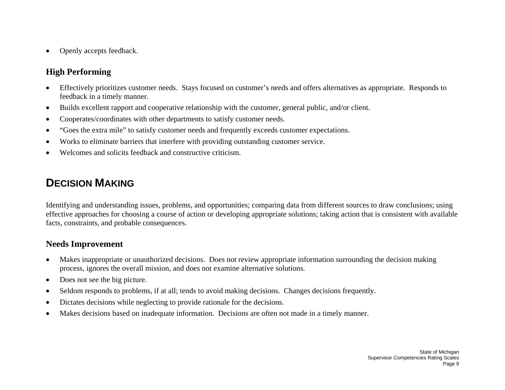$\bullet$ Openly accepts feedback.

### **High Performing**

- $\bullet$  Effectively prioritizes customer needs. Stays focused on customer's needs and offers alternatives as appropriate. Responds to feedback in a timely manner.
- •Builds excellent rapport and cooperative relationship with the customer, general public, and/or client.
- •Cooperates/coordinates with other departments to satisfy customer needs.
- •"Goes the extra mile" to satisfy customer needs and frequently exceeds customer expectations.
- •Works to eliminate barriers that interfere with providing outstanding customer service.
- •Welcomes and solicits feedback and constructive criticism.

## **DECISION MAKING**

Identifying and understanding issues, problems, and opportunities; comparing data from different sources to draw conclusions; using effective approaches for choosing a course of action or developing appropriate solutions; taking action that is consistent with available facts, constraints, and probable consequences.

- $\bullet$  Makes inappropriate or unauthorized decisions. Does not review appropriate information surrounding the decision making process, ignores the overall mission, and does not examine alternative solutions.
- •Does not see the big picture.
- •Seldom responds to problems, if at all; tends to avoid making decisions. Changes decisions frequently.
- •Dictates decisions while neglecting to provide rationale for the decisions.
- •Makes decisions based on inadequate information. Decisions are often not made in a timely manner.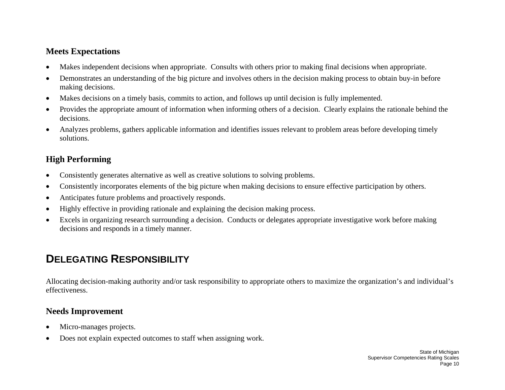- •Makes independent decisions when appropriate. Consults with others prior to making final decisions when appropriate.
- • Demonstrates an understanding of the big picture and involves others in the decision making process to obtain buy-in before making decisions.
- •Makes decisions on a timely basis, commits to action, and follows up until decision is fully implemented.
- • Provides the appropriate amount of information when informing others of a decision. Clearly explains the rationale behind the decisions.
- • Analyzes problems, gathers applicable information and identifies issues relevant to problem areas before developing timely solutions.

## **High Performing**

- •Consistently generates alternative as well as creative solutions to solving problems.
- •Consistently incorporates elements of the big picture when making decisions to ensure effective participation by others.
- •Anticipates future problems and proactively responds.
- •Highly effective in providing rationale and explaining the decision making process.
- • Excels in organizing research surrounding a decision. Conducts or delegates appropriate investigative work before making decisions and responds in a timely manner.

# **DELEGATING RESPONSIBILITY**

Allocating decision-making authority and/or task responsibility to appropriate others to maximize the organization's and individual's effectiveness.

- •Micro-manages projects.
- •Does not explain expected outcomes to staff when assigning work.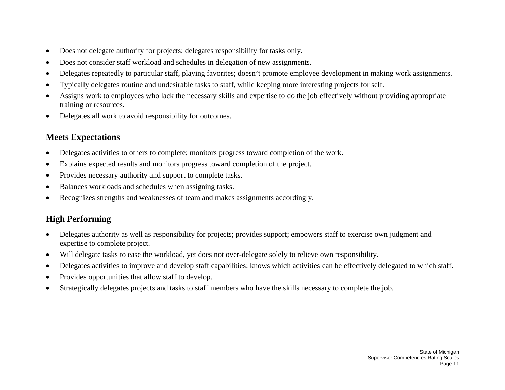- •Does not delegate authority for projects; delegates responsibility for tasks only.
- •Does not consider staff workload and schedules in delegation of new assignments.
- •Delegates repeatedly to particular staff, playing favorites; doesn't promote employee development in making work assignments.
- •Typically delegates routine and undesirable tasks to staff, while keeping more interesting projects for self.
- • Assigns work to employees who lack the necessary skills and expertise to do the job effectively without providing appropriate training or resources.
- •Delegates all work to avoid responsibility for outcomes.

- •Delegates activities to others to complete; monitors progress toward completion of the work.
- •Explains expected results and monitors progress toward completion of the project.
- •Provides necessary authority and support to complete tasks.
- •Balances workloads and schedules when assigning tasks.
- •Recognizes strengths and weaknesses of team and makes assignments accordingly.

- • Delegates authority as well as responsibility for projects; provides support; empowers staff to exercise own judgment and expertise to complete project.
- •Will delegate tasks to ease the workload, yet does not over-delegate solely to relieve own responsibility.
- •Delegates activities to improve and develop staff capabilities; knows which activities can be effectively delegated to which staff.
- •Provides opportunities that allow staff to develop.
- •Strategically delegates projects and tasks to staff members who have the skills necessary to complete the job.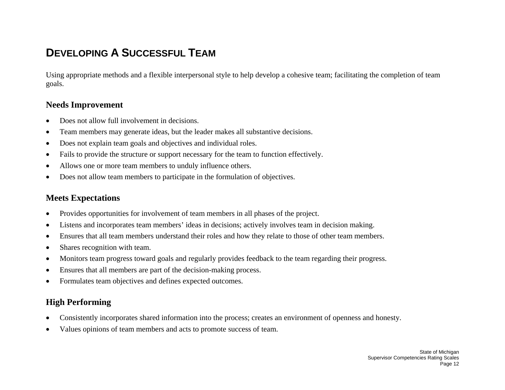## **DEVELOPING A SUCCESSFUL TEAM**

Using appropriate methods and a flexible interpersonal style to help develop a cohesive team; facilitating the completion of team goals.

#### **Needs Improvement**

- •Does not allow full involvement in decisions.
- •Team members may generate ideas, but the leader makes all substantive decisions.
- •Does not explain team goals and objectives and individual roles.
- •Fails to provide the structure or support necessary for the team to function effectively.
- •Allows one or more team members to unduly influence others.
- •Does not allow team members to participate in the formulation of objectives.

#### **Meets Expectations**

- •Provides opportunities for involvement of team members in all phases of the project.
- •Listens and incorporates team members' ideas in decisions; actively involves team in decision making.
- •Ensures that all team members understand their roles and how they relate to those of other team members.
- •Shares recognition with team.
- •Monitors team progress toward goals and regularly provides feedback to the team regarding their progress.
- •Ensures that all members are part of the decision-making process.
- •Formulates team objectives and defines expected outcomes.

- •Consistently incorporates shared information into the process; creates an environment of openness and honesty.
- •Values opinions of team members and acts to promote success of team.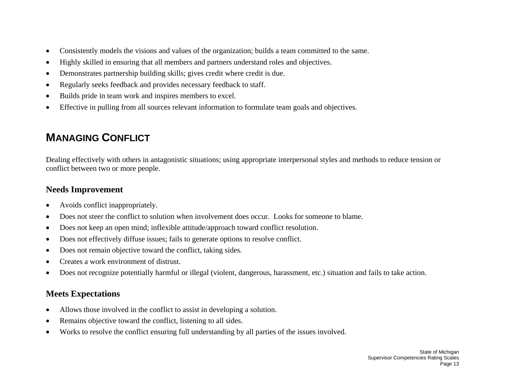- •Consistently models the visions and values of the organization; builds a team committed to the same.
- •Highly skilled in ensuring that all members and partners understand roles and objectives.
- •Demonstrates partnership building skills; gives credit where credit is due.
- •Regularly seeks feedback and provides necessary feedback to staff.
- •Builds pride in team work and inspires members to excel.
- •Effective in pulling from all sources relevant information to formulate team goals and objectives.

## **MANAGING CONFLICT**

Dealing effectively with others in antagonistic situations; using appropriate interpersonal styles and methods to reduce tension or conflict between two or more people.

#### **Needs Improvement**

- •Avoids conflict inappropriately.
- •Does not steer the conflict to solution when involvement does occur. Looks for someone to blame.
- •Does not keep an open mind; inflexible attitude/approach toward conflict resolution.
- •Does not effectively diffuse issues; fails to generate options to resolve conflict.
- •Does not remain objective toward the conflict, taking sides.
- •Creates a work environment of distrust.
- •Does not recognize potentially harmful or illegal (violent, dangerous, harassment, etc.) situation and fails to take action.

### **Meets Expectations**

- •Allows those involved in the conflict to assist in developing a solution.
- •Remains objective toward the conflict, listening to all sides.
- •Works to resolve the conflict ensuring full understanding by all parties of the issues involved.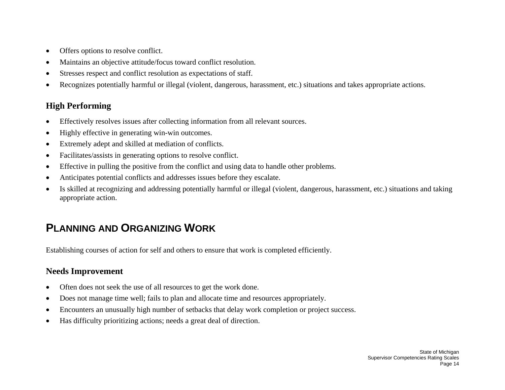- •Offers options to resolve conflict.
- •Maintains an objective attitude/focus toward conflict resolution.
- •Stresses respect and conflict resolution as expectations of staff.
- •Recognizes potentially harmful or illegal (violent, dangerous, harassment, etc.) situations and takes appropriate actions.

### **High Performing**

- •Effectively resolves issues after collecting information from all relevant sources.
- •Highly effective in generating win-win outcomes.
- •Extremely adept and skilled at mediation of conflicts.
- •Facilitates/assists in generating options to resolve conflict.
- •Effective in pulling the positive from the conflict and using data to handle other problems.
- •Anticipates potential conflicts and addresses issues before they escalate.
- • Is skilled at recognizing and addressing potentially harmful or illegal (violent, dangerous, harassment, etc.) situations and taking appropriate action.

## **PLANNING AND ORGANIZING WORK**

Establishing courses of action for self and others to ensure that work is completed efficiently.

- •Often does not seek the use of all resources to get the work done.
- •Does not manage time well; fails to plan and allocate time and resources appropriately.
- •Encounters an unusually high number of setbacks that delay work completion or project success.
- •Has difficulty prioritizing actions; needs a great deal of direction.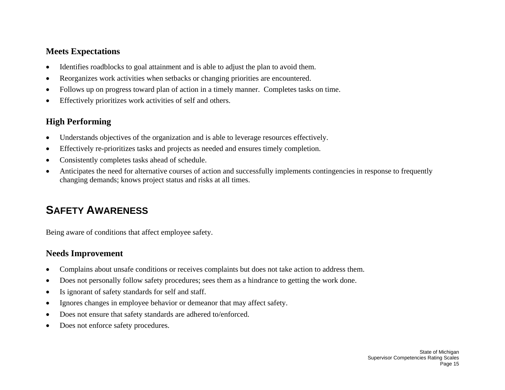- •Identifies roadblocks to goal attainment and is able to adjust the plan to avoid them.
- •Reorganizes work activities when setbacks or changing priorities are encountered.
- •Follows up on progress toward plan of action in a timely manner. Completes tasks on time.
- •Effectively prioritizes work activities of self and others.

## **High Performing**

- •Understands objectives of the organization and is able to leverage resources effectively.
- •Effectively re-prioritizes tasks and projects as needed and ensures timely completion.
- •Consistently completes tasks ahead of schedule.
- • Anticipates the need for alternative courses of action and successfully implements contingencies in response to frequently changing demands; knows project status and risks at all times.

# **SAFETY AWARENESS**

Being aware of conditions that affect employee safety.

- $\bullet$ Complains about unsafe conditions or receives complaints but does not take action to address them.
- •Does not personally follow safety procedures; sees them as a hindrance to getting the work done.
- •Is ignorant of safety standards for self and staff.
- •Ignores changes in employee behavior or demeanor that may affect safety.
- •Does not ensure that safety standards are adhered to/enforced.
- •Does not enforce safety procedures.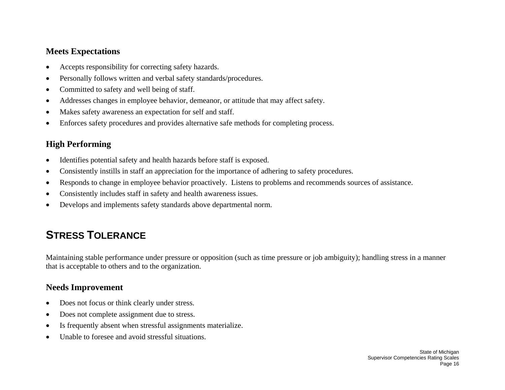- •Accepts responsibility for correcting safety hazards.
- •Personally follows written and verbal safety standards/procedures.
- •Committed to safety and well being of staff.
- •Addresses changes in employee behavior, demeanor, or attitude that may affect safety.
- •Makes safety awareness an expectation for self and staff.
- •Enforces safety procedures and provides alternative safe methods for completing process.

## **High Performing**

- $\bullet$ Identifies potential safety and health hazards before staff is exposed.
- •Consistently instills in staff an appreciation for the importance of adhering to safety procedures.
- •Responds to change in employee behavior proactively. Listens to problems and recommends sources of assistance.
- •Consistently includes staff in safety and health awareness issues.
- •Develops and implements safety standards above departmental norm.

# **STRESS TOLERANCE**

Maintaining stable performance under pressure or opposition (such as time pressure or job ambiguity); handling stress in a manner that is acceptable to others and to the organization.

- •Does not focus or think clearly under stress.
- •Does not complete assignment due to stress.
- •Is frequently absent when stressful assignments materialize.
- •Unable to foresee and avoid stressful situations.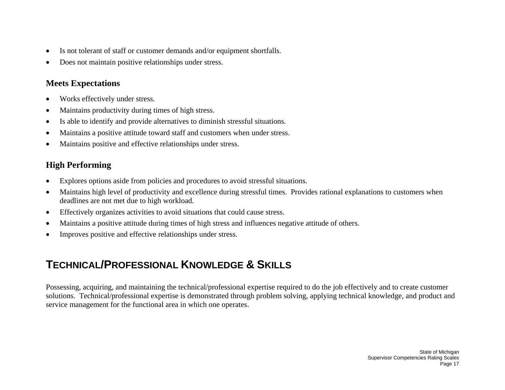- •Is not tolerant of staff or customer demands and/or equipment shortfalls.
- •Does not maintain positive relationships under stress.

- •Works effectively under stress.
- •Maintains productivity during times of high stress.
- •Is able to identify and provide alternatives to diminish stressful situations.
- •Maintains a positive attitude toward staff and customers when under stress.
- •Maintains positive and effective relationships under stress.

## **High Performing**

- $\bullet$ Explores options aside from policies and procedures to avoid stressful situations.
- • Maintains high level of productivity and excellence during stressful times. Provides rational explanations to customers when deadlines are not met due to high workload.
- •Effectively organizes activities to avoid situations that could cause stress.
- •Maintains a positive attitude during times of high stress and influences negative attitude of others.
- •Improves positive and effective relationships under stress.

## **TECHNICAL/PROFESSIONAL KNOWLEDGE & SKILLS**

Possessing, acquiring, and maintaining the technical/professional expertise required to do the job effectively and to create customer solutions. Technical/professional expertise is demonstrated through problem solving, applying technical knowledge, and product and service management for the functional area in which one operates.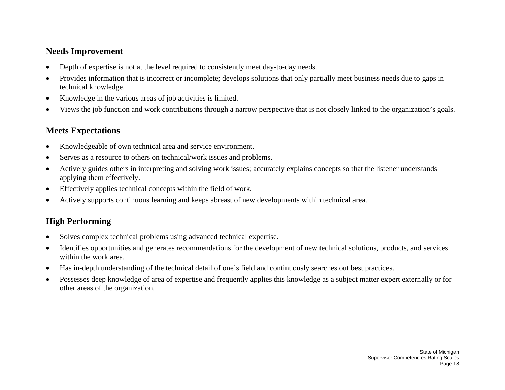#### **Needs Improvement**

- •Depth of expertise is not at the level required to consistently meet day-to-day needs.
- • Provides information that is incorrect or incomplete; develops solutions that only partially meet business needs due to gaps in technical knowledge.
- •Knowledge in the various areas of job activities is limited.
- •Views the job function and work contributions through a narrow perspective that is not closely linked to the organization's goals.

### **Meets Expectations**

- •Knowledgeable of own technical area and service environment.
- •Serves as a resource to others on technical/work issues and problems.
- • Actively guides others in interpreting and solving work issues; accurately explains concepts so that the listener understands applying them effectively.
- •Effectively applies technical concepts within the field of work.
- •Actively supports continuous learning and keeps abreast of new developments within technical area.

- •Solves complex technical problems using advanced technical expertise.
- $\bullet$  Identifies opportunities and generates recommendations for the development of new technical solutions, products, and services within the work area.
- •Has in-depth understanding of the technical detail of one's field and continuously searches out best practices.
- • Possesses deep knowledge of area of expertise and frequently applies this knowledge as a subject matter expert externally or for other areas of the organization.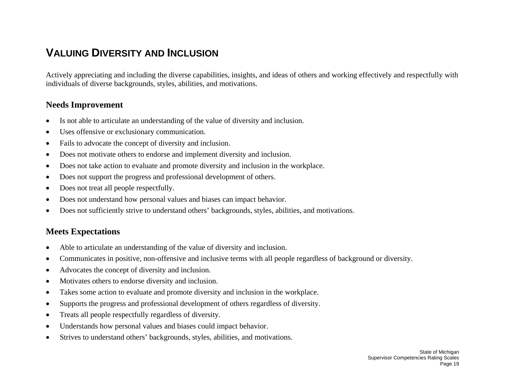## **VALUING DIVERSITY AND INCLUSION**

Actively appreciating and including the diverse capabilities, insights, and ideas of others and working effectively and respectfully with individuals of diverse backgrounds, styles, abilities, and motivations.

#### **Needs Improvement**

- •Is not able to articulate an understanding of the value of diversity and inclusion.
- •Uses offensive or exclusionary communication.
- •Fails to advocate the concept of diversity and inclusion.
- •Does not motivate others to endorse and implement diversity and inclusion.
- •Does not take action to evaluate and promote diversity and inclusion in the workplace.
- •Does not support the progress and professional development of others.
- •Does not treat all people respectfully.
- •Does not understand how personal values and biases can impact behavior.
- •Does not sufficiently strive to understand others' backgrounds, styles, abilities, and motivations.

#### **Meets Expectations**

- •Able to articulate an understanding of the value of diversity and inclusion.
- •Communicates in positive, non-offensive and inclusive terms with all people regardless of background or diversity.
- •Advocates the concept of diversity and inclusion.
- •Motivates others to endorse diversity and inclusion.
- •Takes some action to evaluate and promote diversity and inclusion in the workplace.
- •Supports the progress and professional development of others regardless of diversity.
- •Treats all people respectfully regardless of diversity.
- •Understands how personal values and biases could impact behavior.
- $\bullet$ Strives to understand others' backgrounds, styles, abilities, and motivations.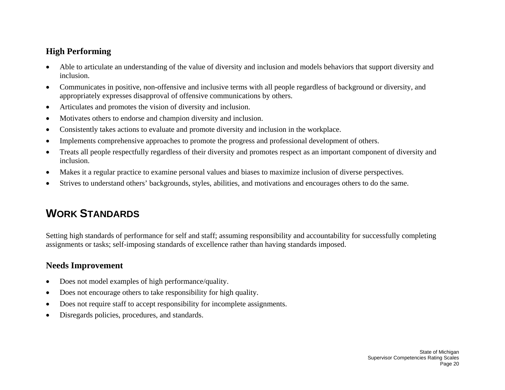#### **High Performing**

- • Able to articulate an understanding of the value of diversity and inclusion and models behaviors that support diversity and inclusion.
- • Communicates in positive, non-offensive and inclusive terms with all people regardless of background or diversity, and appropriately expresses disapproval of offensive communications by others.
- •Articulates and promotes the vision of diversity and inclusion.
- •Motivates others to endorse and champion diversity and inclusion.
- •Consistently takes actions to evaluate and promote diversity and inclusion in the workplace.
- •Implements comprehensive approaches to promote the progress and professional development of others.
- • Treats all people respectfully regardless of their diversity and promotes respect as an important component of diversity and inclusion.
- •Makes it a regular practice to examine personal values and biases to maximize inclusion of diverse perspectives.
- •Strives to understand others' backgrounds, styles, abilities, and motivations and encourages others to do the same.

## **WORK STANDARDS**

Setting high standards of performance for self and staff; assuming responsibility and accountability for successfully completing assignments or tasks; self-imposing standards of excellence rather than having standards imposed.

- •Does not model examples of high performance/quality.
- •Does not encourage others to take responsibility for high quality.
- •Does not require staff to accept responsibility for incomplete assignments.
- •Disregards policies, procedures, and standards.